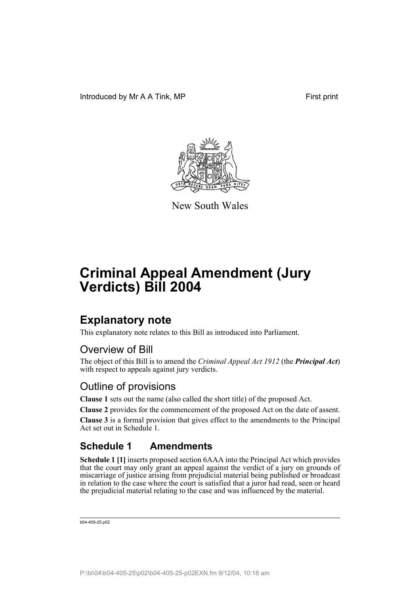

New South Wales

# **Criminal Appeal Amendment (Jury Verdicts) Bill 2004**

### **Explanatory note**

This explanatory note relates to this Bill as introduced into Parliament.

#### Overview of Bill

The object of this Bill is to amend the *Criminal Appeal Act 1912* (the *Principal Act*) with respect to appeals against jury verdicts.

#### Outline of provisions

**Clause 1** sets out the name (also called the short title) of the proposed Act.

**Clause 2** provides for the commencement of the proposed Act on the date of assent.

**Clause 3** is a formal provision that gives effect to the amendments to the Principal Act set out in Schedule 1.

#### **Schedule 1 Amendments**

**Schedule 1 [1]** inserts proposed section 6AAA into the Principal Act which provides that the court may only grant an appeal against the verdict of a jury on grounds of miscarriage of justice arising from prejudicial material being published or broadcast in relation to the case where the court is satisfied that a juror had read, seen or heard the prejudicial material relating to the case and was influenced by the material.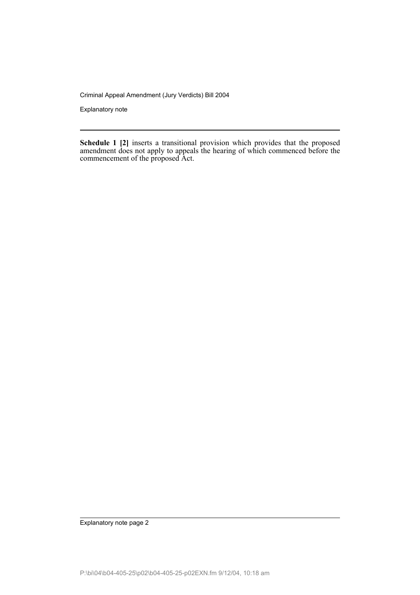Criminal Appeal Amendment (Jury Verdicts) Bill 2004

Explanatory note

**Schedule 1 [2]** inserts a transitional provision which provides that the proposed amendment does not apply to appeals the hearing of which commenced before the commencement of the proposed Act.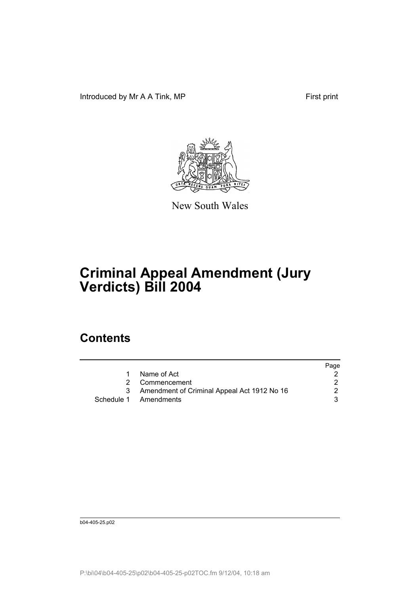Introduced by Mr A A Tink, MP First print



New South Wales

# **Criminal Appeal Amendment (Jury Verdicts) Bill 2004**

### **Contents**

|                                               | Page |
|-----------------------------------------------|------|
| Name of Act                                   |      |
| 2 Commencement                                |      |
| 3 Amendment of Criminal Appeal Act 1912 No 16 |      |
| Schedule 1 Amendments                         |      |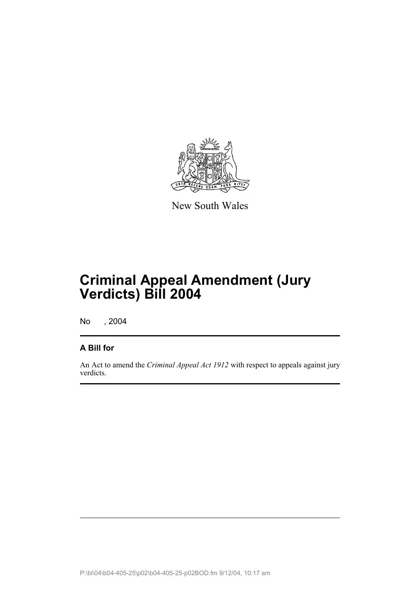

New South Wales

## **Criminal Appeal Amendment (Jury Verdicts) Bill 2004**

No , 2004

#### **A Bill for**

An Act to amend the *Criminal Appeal Act 1912* with respect to appeals against jury verdicts.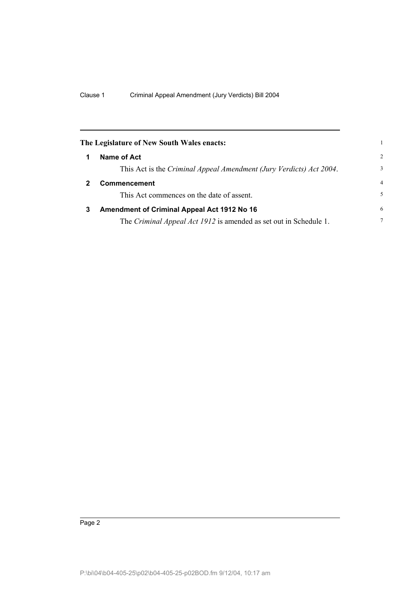|   | The Legislature of New South Wales enacts:                               |                |
|---|--------------------------------------------------------------------------|----------------|
| 1 | Name of Act                                                              | $\mathcal{D}$  |
|   | This Act is the Criminal Appeal Amendment (Jury Verdicts) Act 2004.      | 3              |
|   | Commencement                                                             | $\overline{4}$ |
|   | This Act commences on the date of assent.                                | 5              |
| 3 | Amendment of Criminal Appeal Act 1912 No 16                              | 6              |
|   | The <i>Criminal Appeal Act 1912</i> is amended as set out in Schedule 1. | 7              |